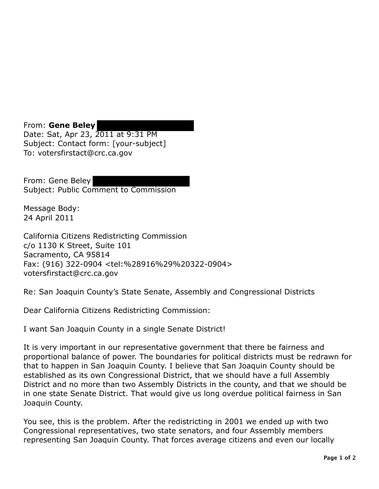From: **Gene Beley**  Date: Sat, Apr 23, 2011 at 9:31 PM Subject: Contact form: [your-subject] To: votersfirstact@crc.ca.gov

From: Gene Beley Subject: Public Comment to Commission

Message Body: 24 April 2011

California Citizens Redistricting Commission c/o 1130 K Street, Suite 101 Sacramento, CA 95814 Fax: (916) 322-0904 <tel:%28916%29%20322-0904> votersfirstact@crc.ca.gov

Re: San Joaquin County's State Senate, Assembly and Congressional Districts

Dear California Citizens Redistricting Commission:

I want San Joaquin County in a single Senate District!

It is very important in our representative government that there be fairness and proportional balance of power. The boundaries for political districts must be redrawn for that to happen in San Joaquin County. I believe that San Joaquin County should be established as its own Congressional District, that we should have a full Assembly District and no more than two Assembly Districts in the county, and that we should be in one state Senate District. That would give us long overdue political fairness in San Joaquin County.

You see, this is the problem. After the redistricting in 2001 we ended up with two Congressional representatives, two state senators, and four Assembly members representing San Joaquin County. That forces average citizens and even our locally